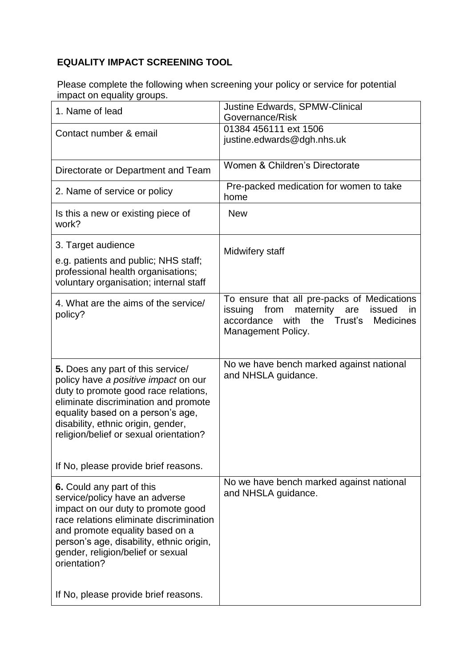## **EQUALITY IMPACT SCREENING TOOL**

Please complete the following when screening your policy or service for potential impact on equality groups.

| 1. Name of lead                                                                                                                                                                                                                                                                  | <b>Justine Edwards, SPMW-Clinical</b><br>Governance/Risk                                                                                                                              |
|----------------------------------------------------------------------------------------------------------------------------------------------------------------------------------------------------------------------------------------------------------------------------------|---------------------------------------------------------------------------------------------------------------------------------------------------------------------------------------|
| Contact number & email                                                                                                                                                                                                                                                           | 01384 456111 ext 1506<br>justine.edwards@dgh.nhs.uk                                                                                                                                   |
| Directorate or Department and Team                                                                                                                                                                                                                                               | Women & Children's Directorate                                                                                                                                                        |
| 2. Name of service or policy                                                                                                                                                                                                                                                     | Pre-packed medication for women to take<br>home                                                                                                                                       |
| Is this a new or existing piece of<br>work?                                                                                                                                                                                                                                      | <b>New</b>                                                                                                                                                                            |
| 3. Target audience                                                                                                                                                                                                                                                               | Midwifery staff                                                                                                                                                                       |
| e.g. patients and public; NHS staff;<br>professional health organisations;<br>voluntary organisation; internal staff                                                                                                                                                             |                                                                                                                                                                                       |
| 4. What are the aims of the service/<br>policy?                                                                                                                                                                                                                                  | To ensure that all pre-packs of Medications<br>from<br>maternity<br>issuing<br>issued<br>are<br>in.<br>Trust's<br>accordance<br>with<br>the<br><b>Medicines</b><br>Management Policy. |
| 5. Does any part of this service/<br>policy have a positive impact on our<br>duty to promote good race relations,<br>eliminate discrimination and promote<br>equality based on a person's age,<br>disability, ethnic origin, gender,<br>religion/belief or sexual orientation?   | No we have bench marked against national<br>and NHSLA guidance.                                                                                                                       |
| If No, please provide brief reasons.                                                                                                                                                                                                                                             |                                                                                                                                                                                       |
| 6. Could any part of this<br>service/policy have an adverse<br>impact on our duty to promote good<br>race relations eliminate discrimination<br>and promote equality based on a<br>person's age, disability, ethnic origin,<br>gender, religion/belief or sexual<br>orientation? | No we have bench marked against national<br>and NHSLA guidance.                                                                                                                       |
| If No, please provide brief reasons.                                                                                                                                                                                                                                             |                                                                                                                                                                                       |